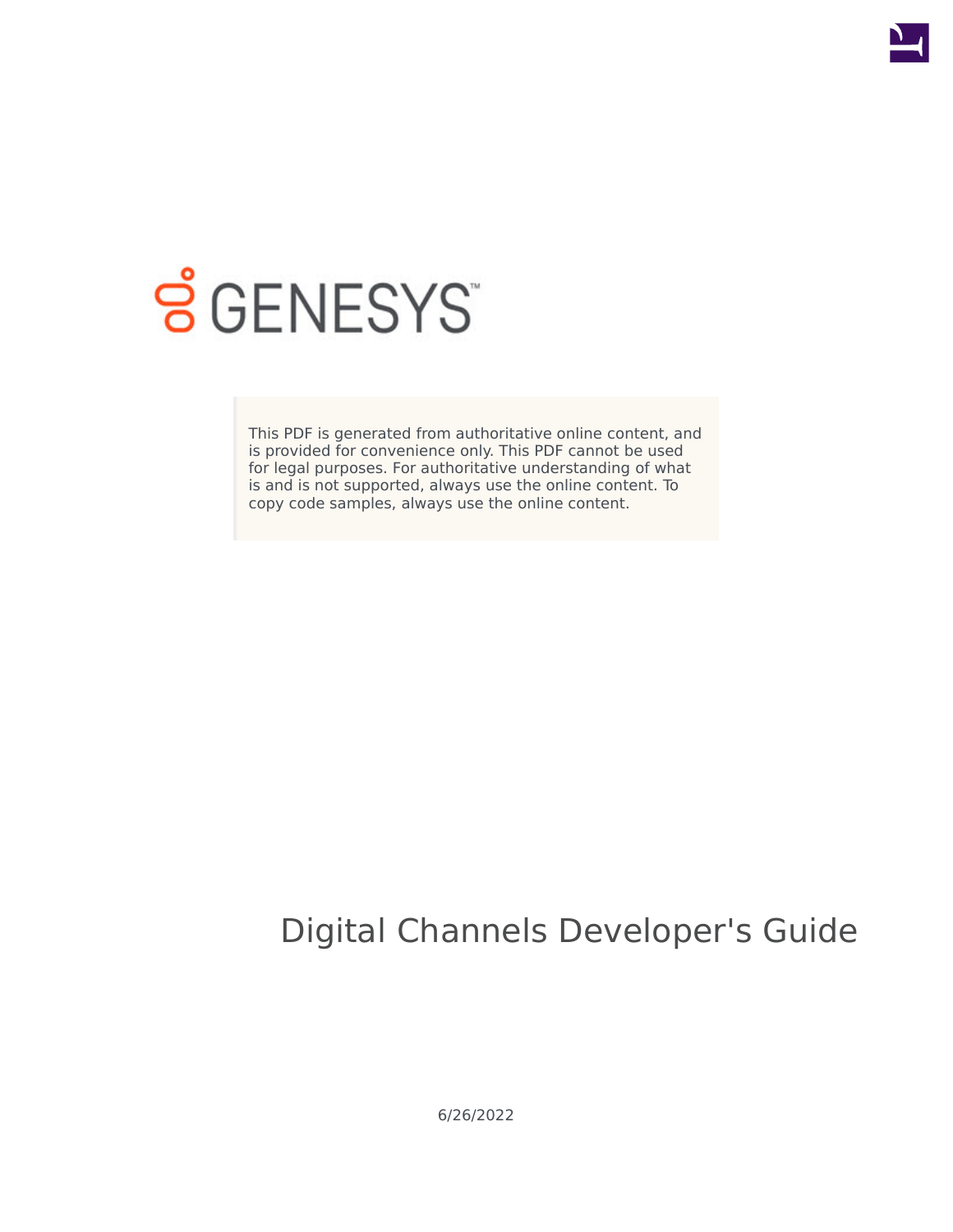

# **SGENESYS**

This PDF is generated from authoritative online content, and is provided for convenience only. This PDF cannot be used for legal purposes. For authoritative understanding of what is and is not supported, always use the online content. To copy code samples, always use the online content.

# Digital Channels Developer's Guide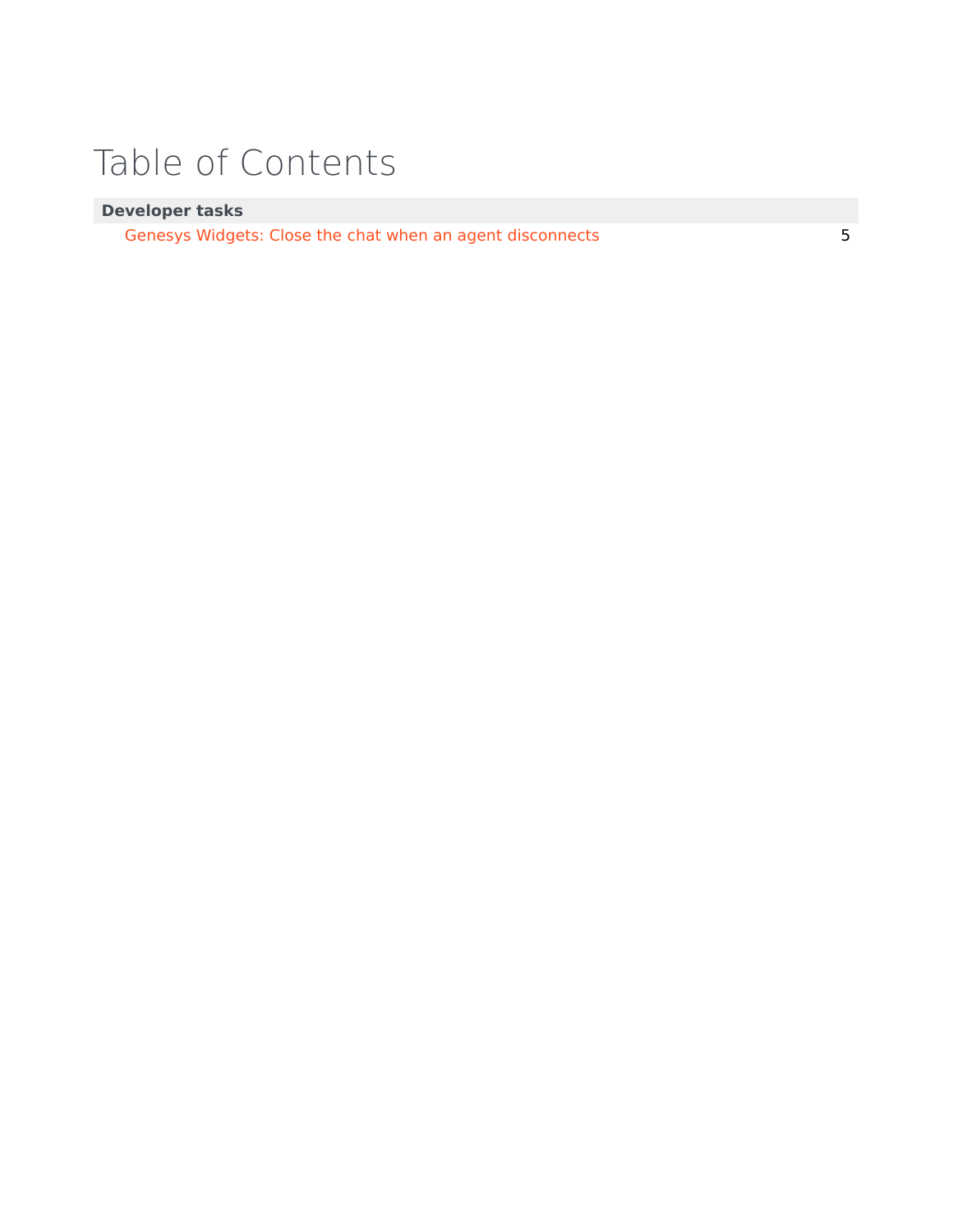# Table of Contents

### **Developer tasks**

[Genesys Widgets: Close the chat when an agent disconnects](#page-4-0) 5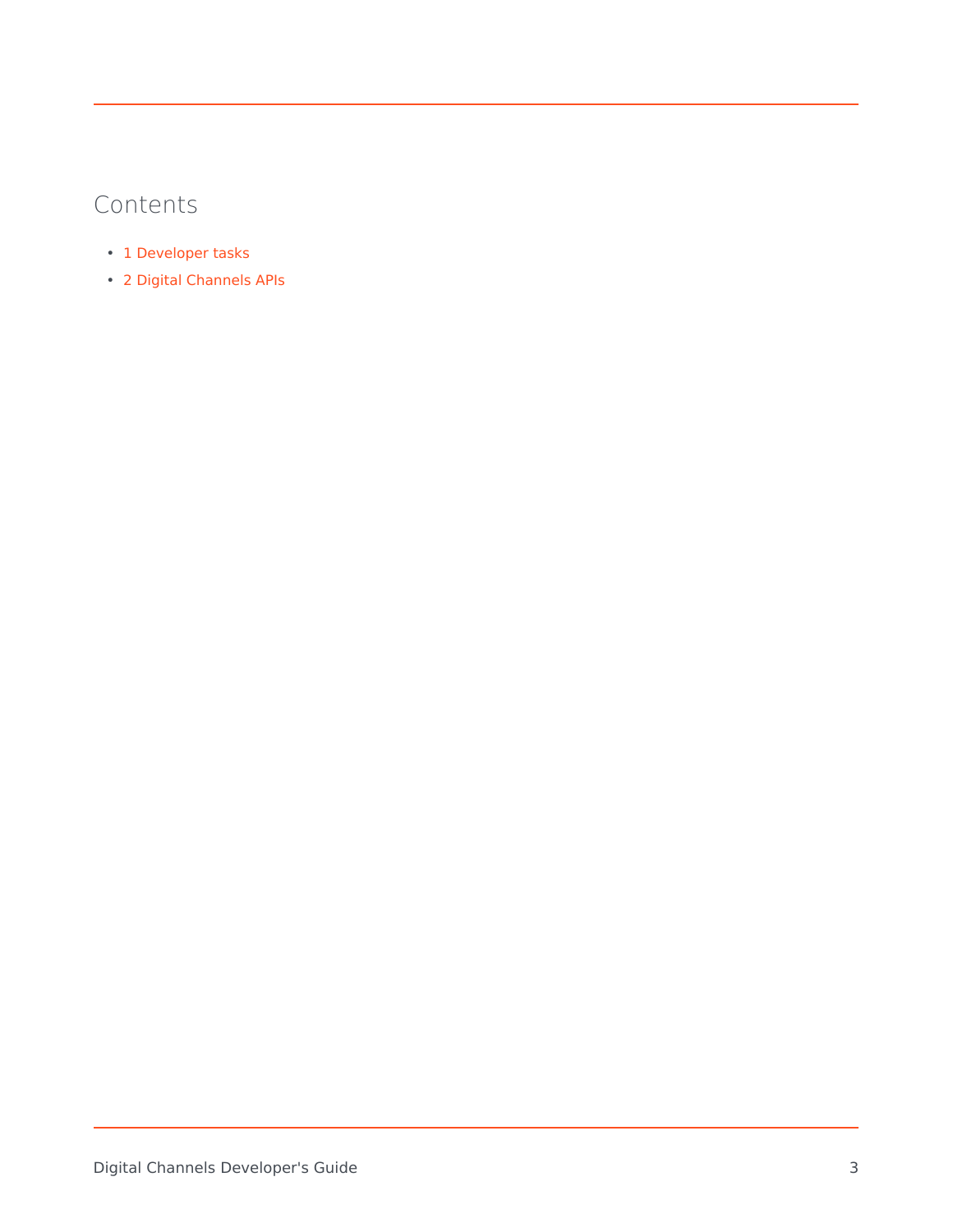## Contents

- 1 [Developer tasks](#page-3-0)
- 2 [Digital Channels APIs](#page-3-1)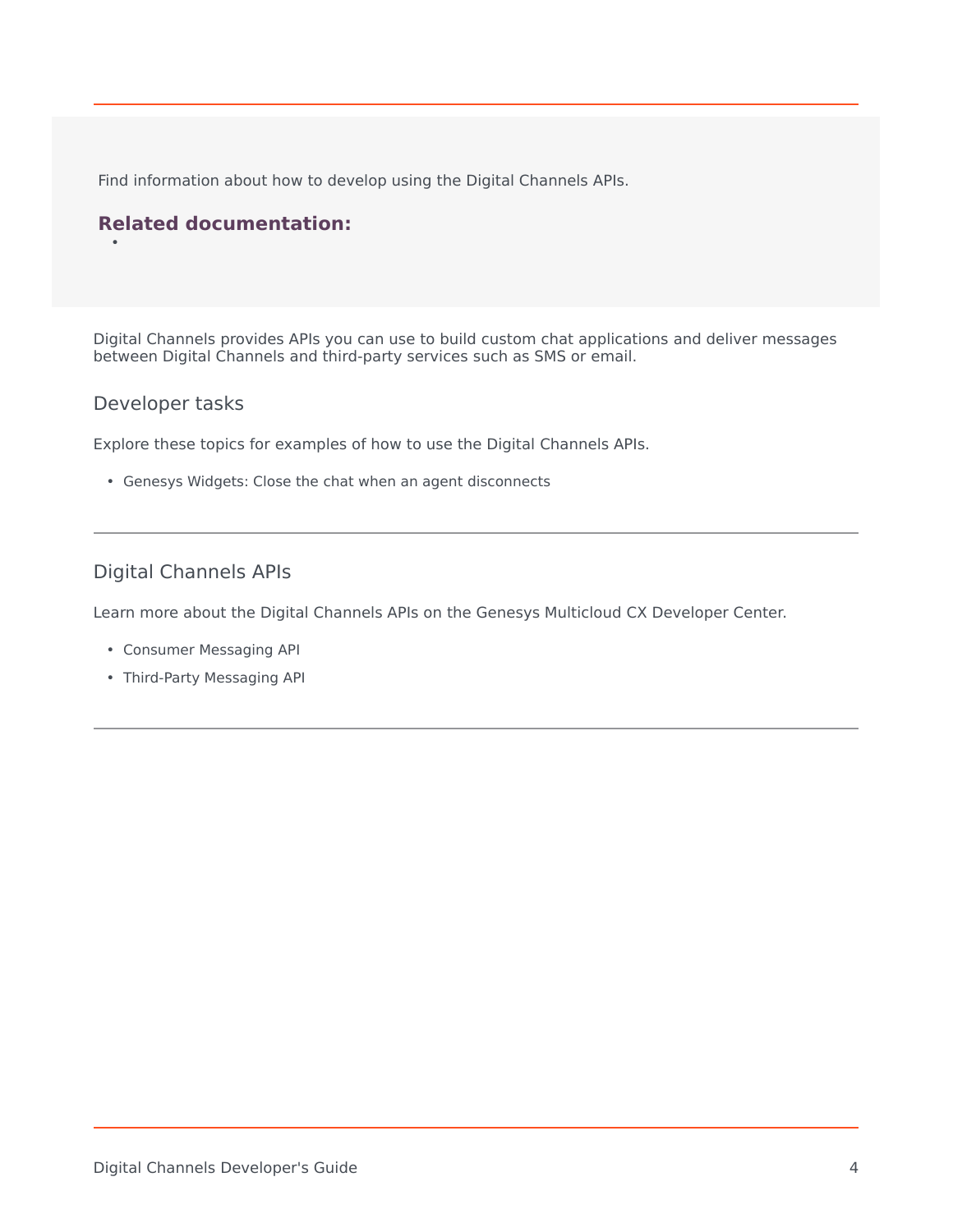Find information about how to develop using the Digital Channels APIs.

### **Related documentation:**

Digital Channels provides APIs you can use to build custom chat applications and deliver messages between Digital Channels and third-party services such as SMS or email.

#### <span id="page-3-0"></span>Developer tasks

•

Explore these topics for examples of how to use the Digital Channels APIs.

• Genesys Widgets: Close the chat when an agent disconnects

### <span id="page-3-1"></span>Digital Channels APIs

Learn more about the Digital Channels APIs on the Genesys Multicloud CX Developer Center.

- Consumer Messaging API
- Third-Party Messaging API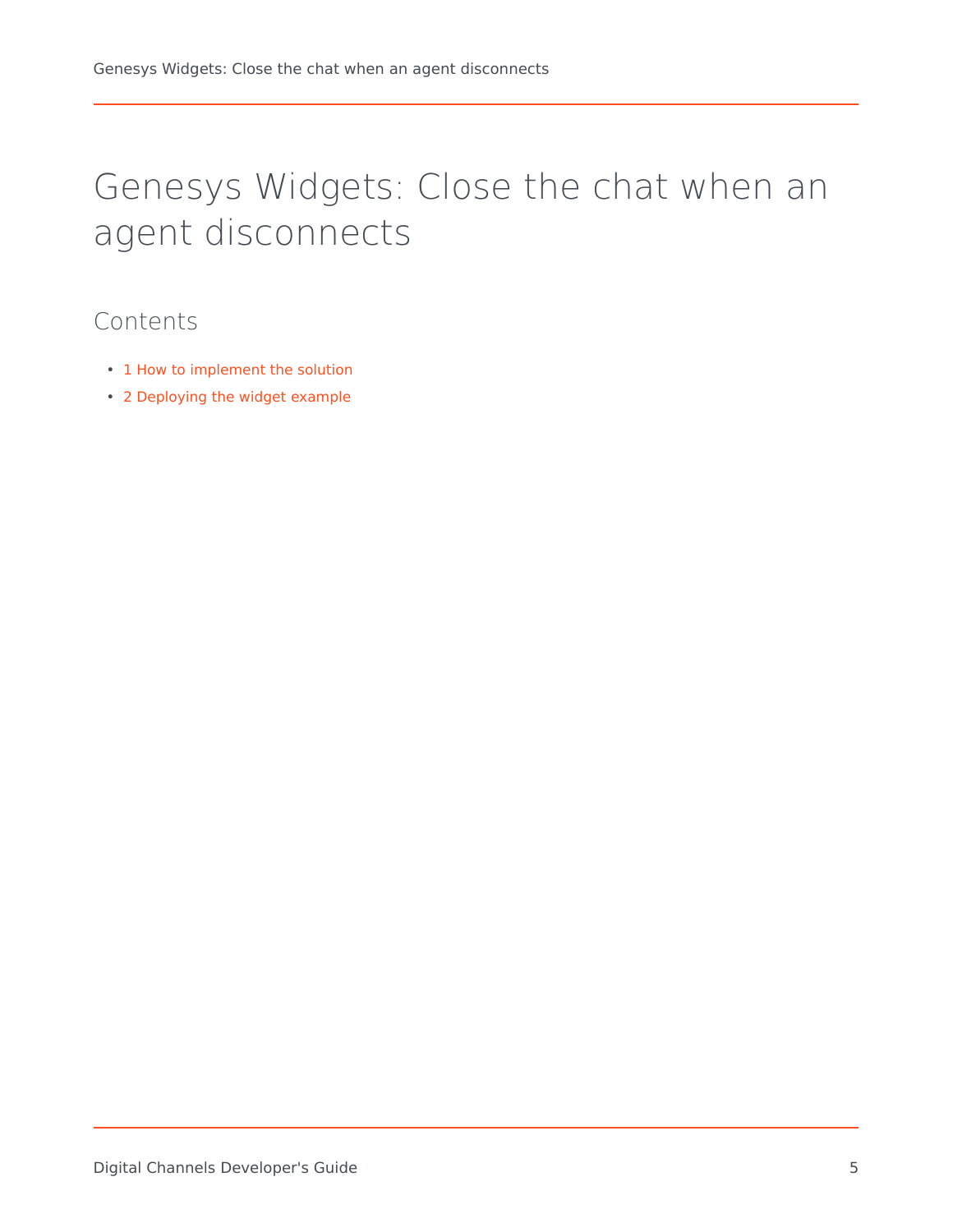# <span id="page-4-0"></span>Genesys Widgets: Close the chat when an agent disconnects

## Contents

- 1 [How to implement the solution](#page-5-0)
- 2 [Deploying the widget example](#page-6-0)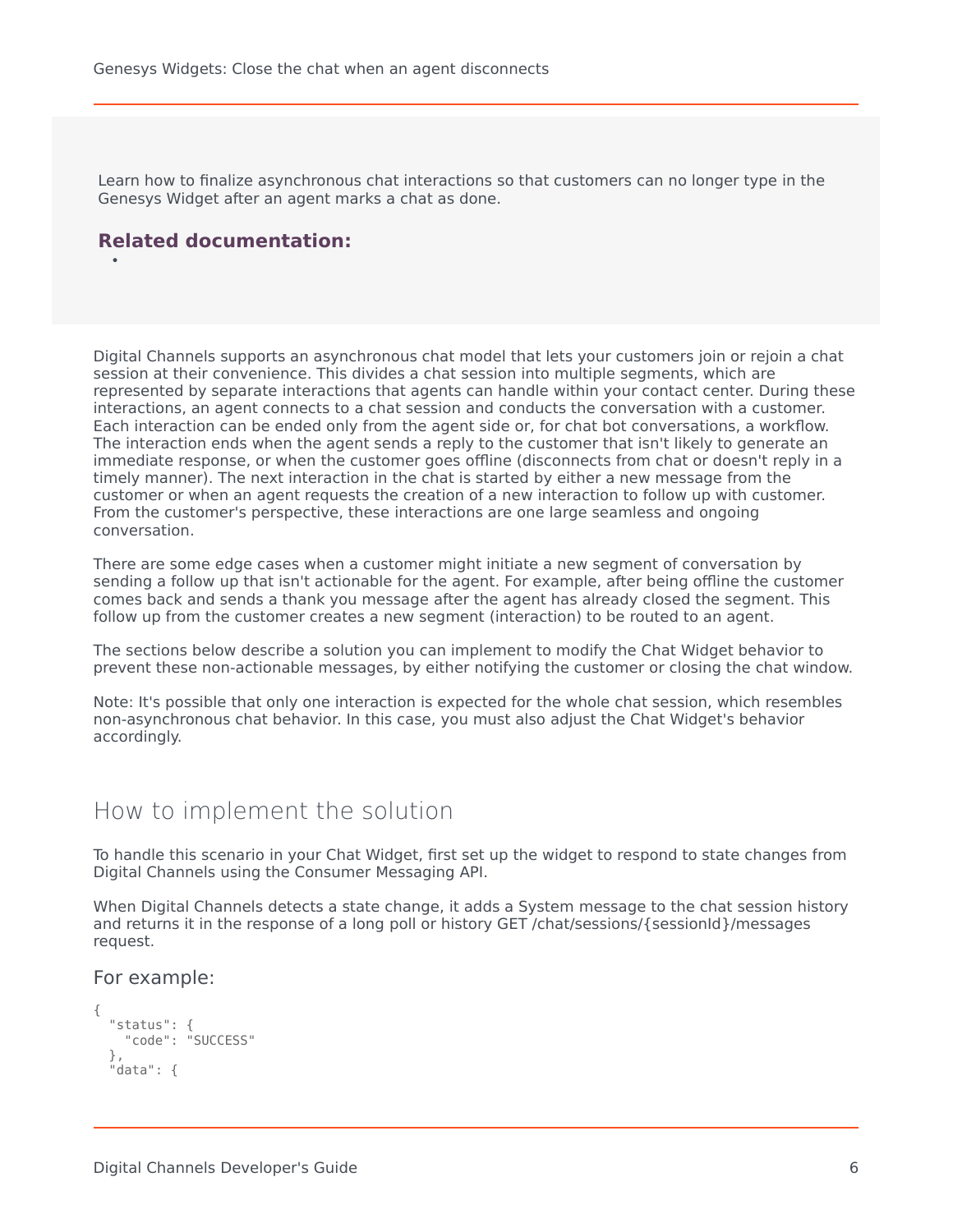Learn how to finalize asynchronous chat interactions so that customers can no longer type in the Genesys Widget after an agent marks a chat as done.

### **Related documentation:**

•

Digital Channels supports an asynchronous chat model that lets your customers join or rejoin a chat session at their convenience. This divides a chat session into multiple segments, which are represented by separate interactions that agents can handle within your contact center. During these interactions, an agent connects to a chat session and conducts the conversation with a customer. Each interaction can be ended only from the agent side or, for chat bot conversations, a workflow. The interaction ends when the agent sends a reply to the customer that isn't likely to generate an immediate response, or when the customer goes offline (disconnects from chat or doesn't reply in a timely manner). The next interaction in the chat is started by either a new message from the customer or when an agent requests the creation of a new interaction to follow up with customer. From the customer's perspective, these interactions are one large seamless and ongoing conversation.

There are some edge cases when a customer might initiate a new segment of conversation by sending a follow up that isn't actionable for the agent. For example, after being offline the customer comes back and sends a thank you message after the agent has already closed the segment. This follow up from the customer creates a new segment (interaction) to be routed to an agent.

The sections below describe a solution you can implement to modify the Chat Widget behavior to prevent these non-actionable messages, by either notifying the customer or closing the chat window.

Note: It's possible that only one interaction is expected for the whole chat session, which resembles non-asynchronous chat behavior. In this case, you must also adjust the Chat Widget's behavior accordingly.

### <span id="page-5-0"></span>How to implement the solution

To handle this scenario in your Chat Widget, first set up the widget to respond to state changes from Digital Channels using the Consumer Messaging API.

When Digital Channels detects a state change, it adds a System message to the chat session history and returns it in the response of a long poll or history GET /chat/sessions/{sessionId}/messages request.

#### For example:

```
{
 "status": {
    "code": "SUCCESS"
 },
  "data": {
```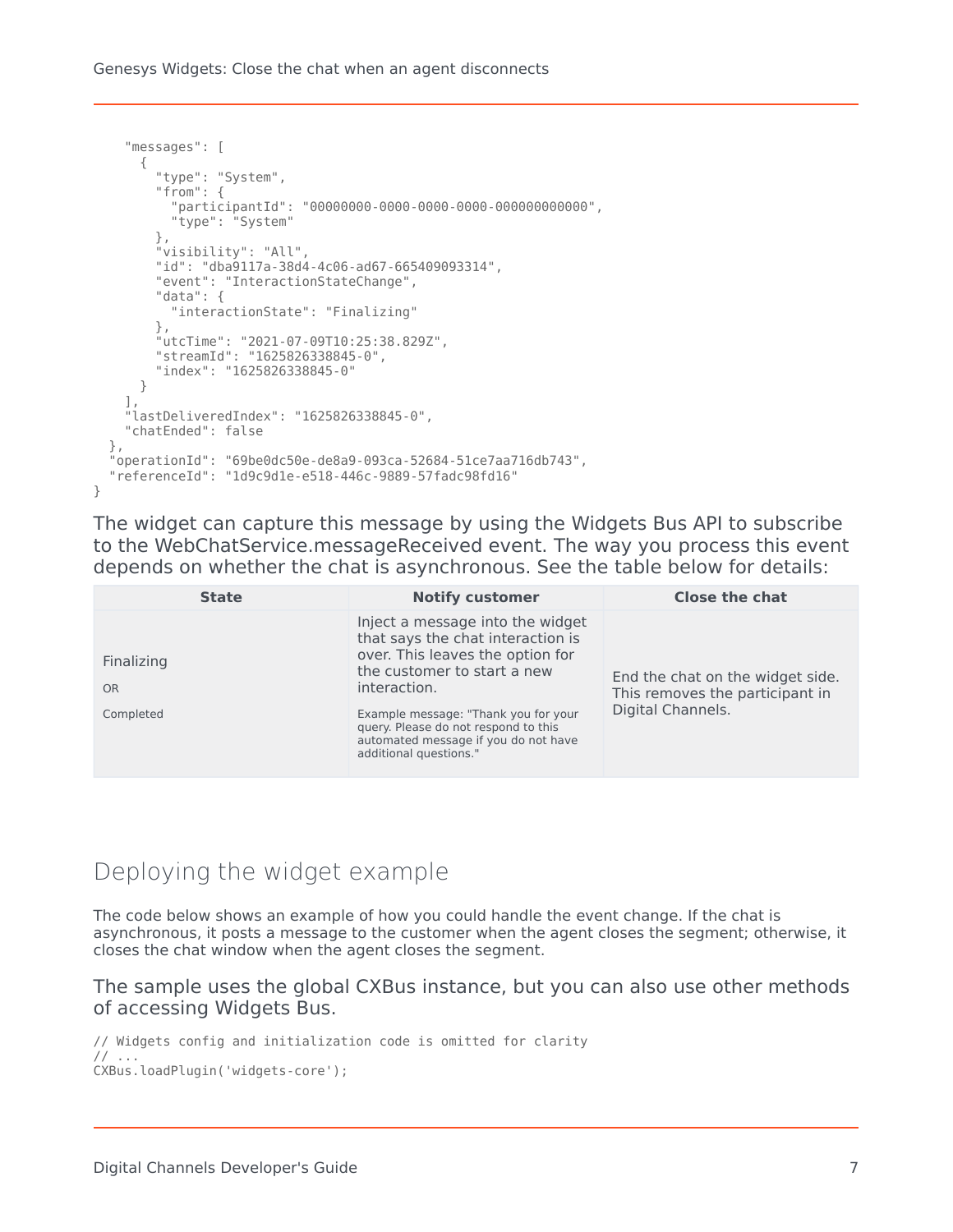Genesys Widgets: Close the chat when an agent disconnects

```
"messages": [
    {
      "type": "System",
      "from": {
        "participantId": "00000000-0000-0000-0000-000000000000",
        "type": "System"
      },
      "visibility": "All",
      "id": "dba9117a-38d4-4c06-ad67-665409093314",
      "event": "InteractionStateChange",
      "data": {
        "interactionState": "Finalizing"
      },
      "utcTime": "2021-07-09T10:25:38.829Z",
      "streamId": "1625826338845-0",
      "index": "1625826338845-0"
    }
  ],
  "lastDeliveredIndex": "1625826338845-0",
  "chatEnded": false
},
"operationId": "69be0dc50e-de8a9-093ca-52684-51ce7aa716db743",
"referenceId": "1d9c9d1e-e518-446c-9889-57fadc98fd16"
```
The widget can capture this message by using the Widgets Bus API to subscribe to the WebChatService.messageReceived event. The way you process this event depends on whether the chat is asynchronous. See the table below for details:

| <b>State</b>                  | <b>Notify customer</b>                                                                                                                                                                                                                                                                                     | <b>Close the chat</b>                                                                    |
|-------------------------------|------------------------------------------------------------------------------------------------------------------------------------------------------------------------------------------------------------------------------------------------------------------------------------------------------------|------------------------------------------------------------------------------------------|
| Finalizing<br>OR<br>Completed | Inject a message into the widget<br>that says the chat interaction is<br>over. This leaves the option for<br>the customer to start a new<br>interaction.<br>Example message: "Thank you for your<br>query. Please do not respond to this<br>automated message if you do not have<br>additional questions." | End the chat on the widget side.<br>This removes the participant in<br>Digital Channels. |

### <span id="page-6-0"></span>Deploying the widget example

}

The code below shows an example of how you could handle the event change. If the chat is asynchronous, it posts a message to the customer when the agent closes the segment; otherwise, it closes the chat window when the agent closes the segment.

#### The sample uses the global CXBus instance, but you can also use other methods of accessing Widgets Bus.

```
// Widgets config and initialization code is omitted for clarity
// ...
CXBus.loadPlugin('widgets-core');
```